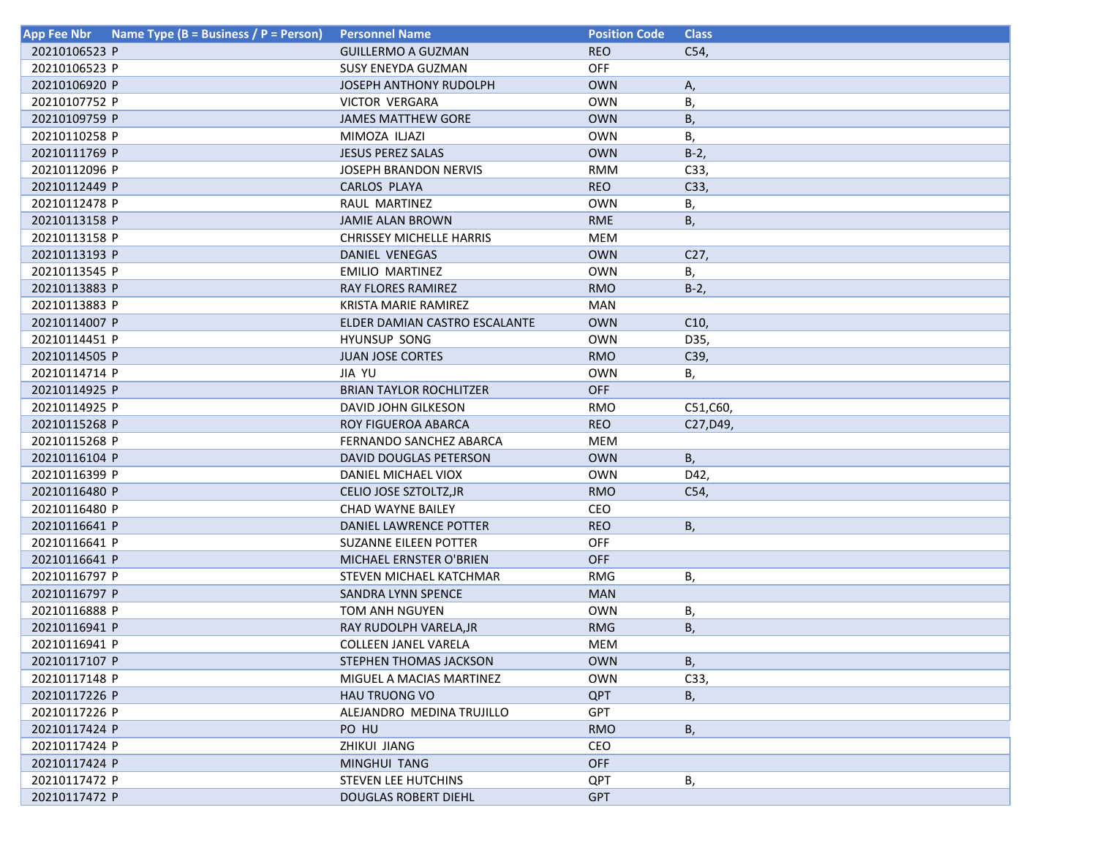| Name Type (B = Business / P = Person)<br><b>App Fee Nbr</b> | <b>Personnel Name</b>           | <b>Position Code</b> | <b>Class</b> |
|-------------------------------------------------------------|---------------------------------|----------------------|--------------|
| 20210106523 P                                               | <b>GUILLERMO A GUZMAN</b>       | <b>REO</b>           | C54,         |
| 20210106523 P                                               | <b>SUSY ENEYDA GUZMAN</b>       | <b>OFF</b>           |              |
| 20210106920 P                                               | <b>JOSEPH ANTHONY RUDOLPH</b>   | <b>OWN</b>           | Α,           |
| 20210107752 P                                               | <b>VICTOR VERGARA</b>           | <b>OWN</b>           | В,           |
| 20210109759 P                                               | <b>JAMES MATTHEW GORE</b>       | <b>OWN</b>           | В,           |
| 20210110258 P                                               | MIMOZA ILJAZI                   | <b>OWN</b>           | В,           |
| 20210111769 P                                               | <b>JESUS PEREZ SALAS</b>        | <b>OWN</b>           | $B-2$ ,      |
| 20210112096 P                                               | <b>JOSEPH BRANDON NERVIS</b>    | <b>RMM</b>           | C33,         |
| 20210112449 P                                               | CARLOS PLAYA                    | <b>REO</b>           | C33,         |
| 20210112478 P                                               | RAUL MARTINEZ                   | <b>OWN</b>           | В,           |
| 20210113158 P                                               | JAMIE ALAN BROWN                | <b>RME</b>           | В,           |
| 20210113158 P                                               | <b>CHRISSEY MICHELLE HARRIS</b> | <b>MEM</b>           |              |
| 20210113193 P                                               | DANIEL VENEGAS                  | <b>OWN</b>           | C27,         |
| 20210113545 P                                               | EMILIO MARTINEZ                 | <b>OWN</b>           | В,           |
| 20210113883 P                                               | RAY FLORES RAMIREZ              | <b>RMO</b>           | $B-2$ ,      |
| 20210113883 P                                               | KRISTA MARIE RAMIREZ            | <b>MAN</b>           |              |
| 20210114007 P                                               | ELDER DAMIAN CASTRO ESCALANTE   | <b>OWN</b>           | C10,         |
| 20210114451 P                                               | HYUNSUP SONG                    | <b>OWN</b>           | D35,         |
| 20210114505 P                                               | <b>JUAN JOSE CORTES</b>         | <b>RMO</b>           | C39,         |
| 20210114714 P                                               | <b>JIA YU</b>                   | <b>OWN</b>           | В,           |
| 20210114925 P                                               | <b>BRIAN TAYLOR ROCHLITZER</b>  | <b>OFF</b>           |              |
| 20210114925 P                                               | DAVID JOHN GILKESON             | <b>RMO</b>           | C51,C60,     |
| 20210115268 P                                               | ROY FIGUEROA ABARCA             | <b>REO</b>           | C27, D49,    |
| 20210115268 P                                               | FERNANDO SANCHEZ ABARCA         | <b>MEM</b>           |              |
| 20210116104 P                                               | DAVID DOUGLAS PETERSON          | <b>OWN</b>           | B,           |
| 20210116399 P                                               | DANIEL MICHAEL VIOX             | <b>OWN</b>           | D42,         |
| 20210116480 P                                               | CELIO JOSE SZTOLTZ, JR          | <b>RMO</b>           | C54,         |
| 20210116480 P                                               | <b>CHAD WAYNE BAILEY</b>        | CEO                  |              |
| 20210116641 P                                               | DANIEL LAWRENCE POTTER          | <b>REO</b>           | В,           |
| 20210116641 P                                               | <b>SUZANNE EILEEN POTTER</b>    | <b>OFF</b>           |              |
| 20210116641 P                                               | MICHAEL ERNSTER O'BRIEN         | <b>OFF</b>           |              |
| 20210116797 P                                               | STEVEN MICHAEL KATCHMAR         | <b>RMG</b>           | В,           |
| 20210116797 P                                               | SANDRA LYNN SPENCE              | <b>MAN</b>           |              |
| 20210116888 P                                               | TOM ANH NGUYEN                  | <b>OWN</b>           | В,           |
| 20210116941 P                                               | RAY RUDOLPH VARELA, JR          | <b>RMG</b>           | В,           |
| 20210116941 P                                               | COLLEEN JANEL VARELA            | MEM                  |              |
| 20210117107 P                                               | STEPHEN THOMAS JACKSON          | <b>OWN</b>           | B,           |
| 20210117148 P                                               | MIGUEL A MACIAS MARTINEZ        | <b>OWN</b>           | C33,         |
| 20210117226 P                                               | <b>HAU TRUONG VO</b>            | <b>QPT</b>           | В,           |
| 20210117226 P                                               | ALEJANDRO MEDINA TRUJILLO       | <b>GPT</b>           |              |
| 20210117424 P                                               | PO HU                           | <b>RMO</b>           | В,           |
| 20210117424 P                                               | ZHIKUI JIANG                    | CEO                  |              |
| 20210117424 P                                               | MINGHUI TANG                    | <b>OFF</b>           |              |
| 20210117472 P                                               | STEVEN LEE HUTCHINS             | <b>QPT</b>           | В,           |
| 20210117472 P                                               | <b>DOUGLAS ROBERT DIEHL</b>     | <b>GPT</b>           |              |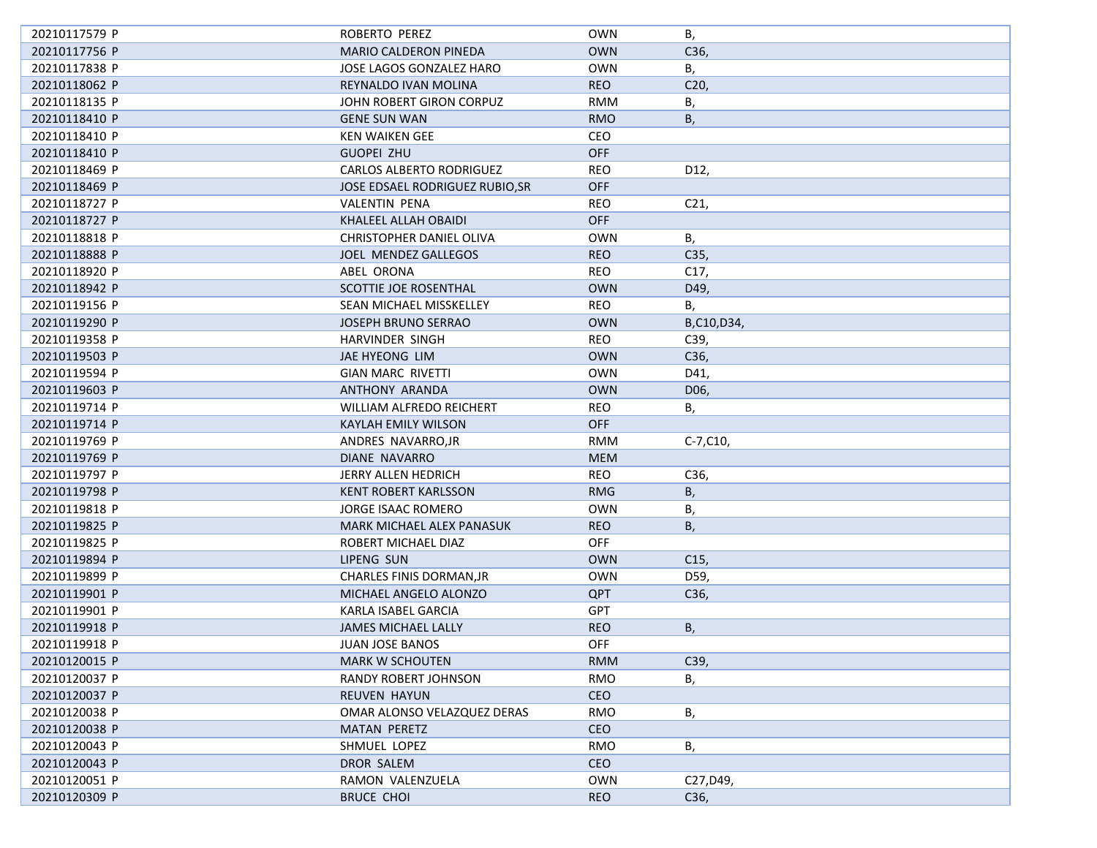| 20210117579 P | ROBERTO PEREZ                   | <b>OWN</b> | В,              |
|---------------|---------------------------------|------------|-----------------|
| 20210117756 P | <b>MARIO CALDERON PINEDA</b>    | <b>OWN</b> | C <sub>36</sub> |
| 20210117838 P | JOSE LAGOS GONZALEZ HARO        | <b>OWN</b> | В,              |
| 20210118062 P | REYNALDO IVAN MOLINA            | <b>REO</b> | C <sub>20</sub> |
| 20210118135 P | JOHN ROBERT GIRON CORPUZ        | <b>RMM</b> | В,              |
| 20210118410 P | <b>GENE SUN WAN</b>             | <b>RMO</b> | В,              |
| 20210118410 P | <b>KEN WAIKEN GEE</b>           | CEO        |                 |
| 20210118410 P | <b>GUOPEI ZHU</b>               | <b>OFF</b> |                 |
| 20210118469 P | CARLOS ALBERTO RODRIGUEZ        | <b>REO</b> | D12,            |
| 20210118469 P | JOSE EDSAEL RODRIGUEZ RUBIO, SR | <b>OFF</b> |                 |
| 20210118727 P | VALENTIN PENA                   | <b>REO</b> | C <sub>21</sub> |
| 20210118727 P | KHALEEL ALLAH OBAIDI            | <b>OFF</b> |                 |
| 20210118818 P | CHRISTOPHER DANIEL OLIVA        | <b>OWN</b> | В,              |
| 20210118888 P | JOEL MENDEZ GALLEGOS            | <b>REO</b> | C35,            |
| 20210118920 P | ABEL ORONA                      | <b>REO</b> | C17,            |
| 20210118942 P | SCOTTIE JOE ROSENTHAL           | <b>OWN</b> | D49,            |
| 20210119156 P | SEAN MICHAEL MISSKELLEY         | <b>REO</b> | В,              |
| 20210119290 P | <b>JOSEPH BRUNO SERRAO</b>      | <b>OWN</b> | B,C10,D34,      |
| 20210119358 P | HARVINDER SINGH                 | REO        | C39,            |
| 20210119503 P | JAE HYEONG LIM                  | <b>OWN</b> | C36,            |
| 20210119594 P | <b>GIAN MARC RIVETTI</b>        | <b>OWN</b> | D41,            |
| 20210119603 P | ANTHONY ARANDA                  | <b>OWN</b> | D06,            |
| 20210119714 P | WILLIAM ALFREDO REICHERT        | REO        | В,              |
| 20210119714 P | <b>KAYLAH EMILY WILSON</b>      | <b>OFF</b> |                 |
| 20210119769 P | ANDRES NAVARRO, JR              | RMM        | $C-7, C10,$     |
| 20210119769 P | DIANE NAVARRO                   | <b>MEM</b> |                 |
| 20210119797 P | JERRY ALLEN HEDRICH             | <b>REO</b> | C36,            |
| 20210119798 P | <b>KENT ROBERT KARLSSON</b>     | <b>RMG</b> |                 |
| 20210119818 P | JORGE ISAAC ROMERO              | <b>OWN</b> | В,              |
|               | MARK MICHAEL ALEX PANASUK       | <b>REO</b> | В,              |
| 20210119825 P |                                 | <b>OFF</b> | В,              |
| 20210119825 P | ROBERT MICHAEL DIAZ             |            |                 |
| 20210119894 P | LIPENG SUN                      | <b>OWN</b> | C <sub>15</sub> |
| 20210119899 P | CHARLES FINIS DORMAN, JR        | <b>OWN</b> | D59,            |
| 20210119901 P | MICHAEL ANGELO ALONZO           | <b>QPT</b> | C36,            |
| 20210119901 P | KARLA ISABEL GARCIA             | <b>GPT</b> |                 |
| 20210119918 P | <b>JAMES MICHAEL LALLY</b>      | <b>REO</b> | В,              |
| 20210119918 P | JUAN JOSE BANOS                 | OFF        |                 |
| 20210120015 P | <b>MARK W SCHOUTEN</b>          | <b>RMM</b> | C39,            |
| 20210120037 P | RANDY ROBERT JOHNSON            | RMO        | В,              |
| 20210120037 P | REUVEN HAYUN                    | CEO        |                 |
| 20210120038 P | OMAR ALONSO VELAZQUEZ DERAS     | <b>RMO</b> | В,              |
| 20210120038 P | <b>MATAN PERETZ</b>             | <b>CEO</b> |                 |
| 20210120043 P | SHMUEL LOPEZ                    | <b>RMO</b> | В,              |
| 20210120043 P | DROR SALEM                      | <b>CEO</b> |                 |
| 20210120051 P | RAMON VALENZUELA                | <b>OWN</b> | C27, D49,       |
| 20210120309 P | <b>BRUCE CHOI</b>               | <b>REO</b> | C36,            |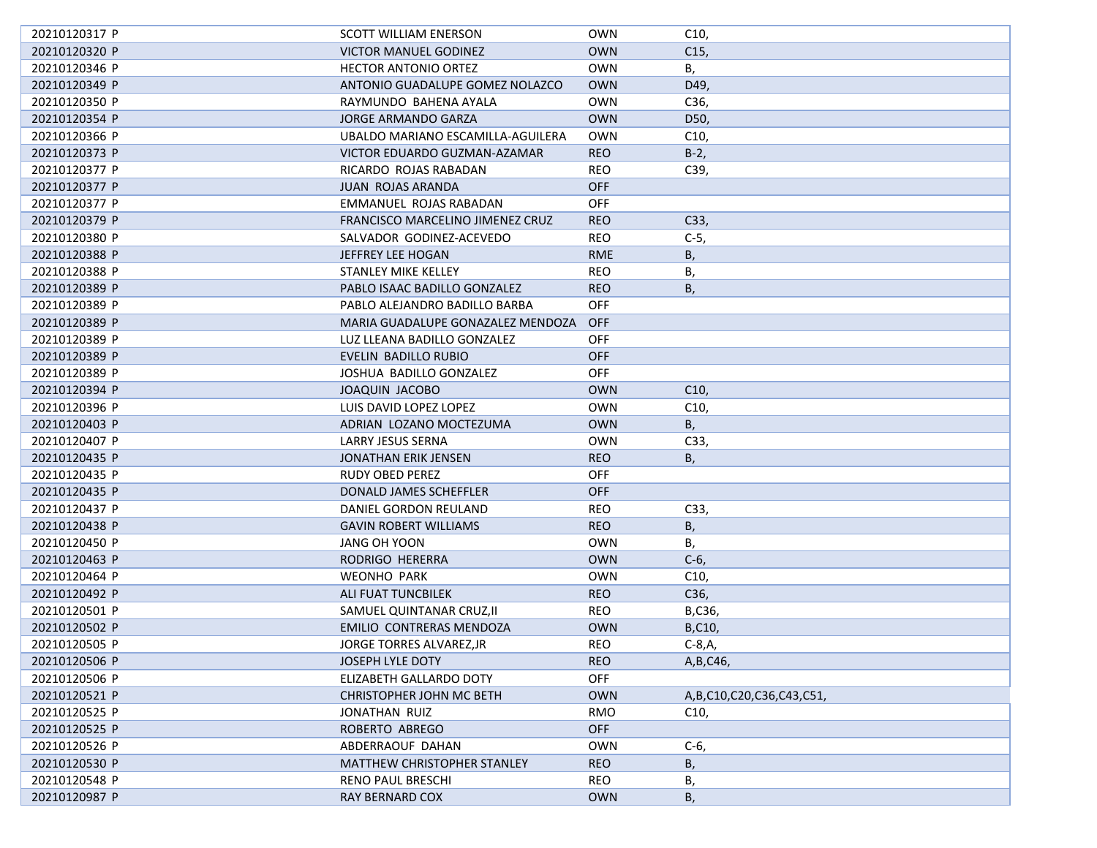| 20210120317 P | SCOTT WILLIAM ENERSON              | <b>OWN</b> | C10,                           |
|---------------|------------------------------------|------------|--------------------------------|
| 20210120320 P | <b>VICTOR MANUEL GODINEZ</b>       | <b>OWN</b> | C <sub>15</sub>                |
| 20210120346 P | <b>HECTOR ANTONIO ORTEZ</b>        | <b>OWN</b> | В,                             |
| 20210120349 P | ANTONIO GUADALUPE GOMEZ NOLAZCO    | <b>OWN</b> | D49,                           |
| 20210120350 P | RAYMUNDO BAHENA AYALA              | <b>OWN</b> | C36,                           |
| 20210120354 P | JORGE ARMANDO GARZA                | <b>OWN</b> | D50,                           |
| 20210120366 P | UBALDO MARIANO ESCAMILLA-AGUILERA  | <b>OWN</b> | C10,                           |
| 20210120373 P | VICTOR EDUARDO GUZMAN-AZAMAR       | <b>REO</b> | $B-2$ ,                        |
| 20210120377 P | RICARDO ROJAS RABADAN              | <b>REO</b> | C39,                           |
| 20210120377 P | JUAN ROJAS ARANDA                  | <b>OFF</b> |                                |
| 20210120377 P | EMMANUEL ROJAS RABADAN             | <b>OFF</b> |                                |
| 20210120379 P | FRANCISCO MARCELINO JIMENEZ CRUZ   | <b>REO</b> | C33,                           |
| 20210120380 P | SALVADOR GODINEZ-ACEVEDO           | REO        | $C-5$ ,                        |
| 20210120388 P | JEFFREY LEE HOGAN                  | <b>RME</b> | В,                             |
| 20210120388 P | STANLEY MIKE KELLEY                | REO        | В,                             |
| 20210120389 P | PABLO ISAAC BADILLO GONZALEZ       | <b>REO</b> | В,                             |
| 20210120389 P | PABLO ALEJANDRO BADILLO BARBA      | <b>OFF</b> |                                |
| 20210120389 P | MARIA GUADALUPE GONAZALEZ MENDOZA  | <b>OFF</b> |                                |
| 20210120389 P | LUZ LLEANA BADILLO GONZALEZ        | <b>OFF</b> |                                |
| 20210120389 P | EVELIN BADILLO RUBIO               | <b>OFF</b> |                                |
| 20210120389 P | JOSHUA BADILLO GONZALEZ            | <b>OFF</b> |                                |
| 20210120394 P | JOAQUIN JACOBO                     | <b>OWN</b> | C10,                           |
| 20210120396 P | LUIS DAVID LOPEZ LOPEZ             | <b>OWN</b> | C <sub>10</sub>                |
| 20210120403 P | ADRIAN LOZANO MOCTEZUMA            | <b>OWN</b> | B,                             |
| 20210120407 P | LARRY JESUS SERNA                  | <b>OWN</b> | C33,                           |
| 20210120435 P | JONATHAN ERIK JENSEN               | <b>REO</b> | В,                             |
| 20210120435 P | RUDY OBED PEREZ                    | OFF.       |                                |
| 20210120435 P | DONALD JAMES SCHEFFLER             | <b>OFF</b> |                                |
| 20210120437 P | DANIEL GORDON REULAND              | <b>REO</b> | C33,                           |
| 20210120438 P | <b>GAVIN ROBERT WILLIAMS</b>       | <b>REO</b> | В,                             |
| 20210120450 P | JANG OH YOON                       | <b>OWN</b> | В,                             |
| 20210120463 P | RODRIGO HERERRA                    | <b>OWN</b> | $C-6$                          |
| 20210120464 P | <b>WEONHO PARK</b>                 | <b>OWN</b> | C10,                           |
| 20210120492 P | ALI FUAT TUNCBILEK                 | <b>REO</b> | C36,                           |
| 20210120501 P | SAMUEL QUINTANAR CRUZ, II          | <b>REO</b> | B,C36,                         |
| 20210120502 P | EMILIO CONTRERAS MENDOZA           | <b>OWN</b> | B,C10,                         |
| 20210120505 P | JORGE TORRES ALVAREZ, JR           | REO        | $C-8, A,$                      |
| 20210120506 P | JOSEPH LYLE DOTY                   | <b>REO</b> | A, B, C46,                     |
| 20210120506 P | ELIZABETH GALLARDO DOTY            | <b>OFF</b> |                                |
| 20210120521 P | <b>CHRISTOPHER JOHN MC BETH</b>    | <b>OWN</b> | A, B, C10, C20, C36, C43, C51, |
| 20210120525 P | JONATHAN RUIZ                      | <b>RMO</b> | C <sub>10</sub>                |
| 20210120525 P | ROBERTO ABREGO                     | <b>OFF</b> |                                |
| 20210120526 P | ABDERRAOUF DAHAN                   | <b>OWN</b> | $C-6$                          |
| 20210120530 P | <b>MATTHEW CHRISTOPHER STANLEY</b> | <b>REO</b> | В,                             |
| 20210120548 P | <b>RENO PAUL BRESCHI</b>           | REO        | В,                             |
| 20210120987 P | RAY BERNARD COX                    | <b>OWN</b> | В,                             |
|               |                                    |            |                                |